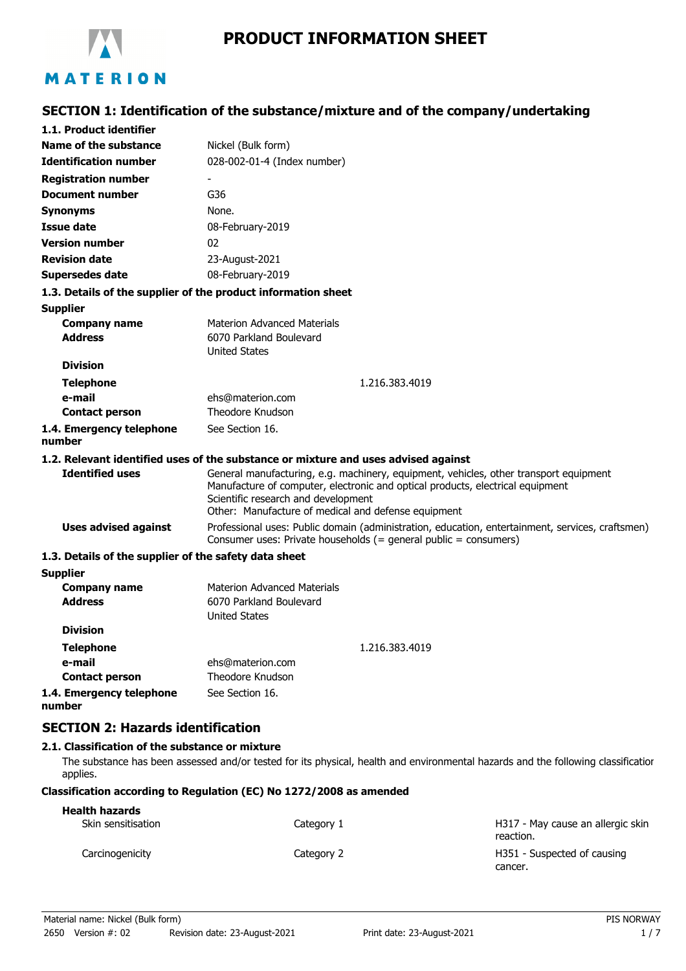

# **PRODUCT INFORMATION SHEET**

## **SECTION 1: Identification of the substance/mixture and of the company/undertaking**

| 1.1. Product identifier                                       |                                                                                                                                                                                                                                                                       |
|---------------------------------------------------------------|-----------------------------------------------------------------------------------------------------------------------------------------------------------------------------------------------------------------------------------------------------------------------|
| Name of the substance                                         | Nickel (Bulk form)                                                                                                                                                                                                                                                    |
| <b>Identification number</b>                                  | 028-002-01-4 (Index number)                                                                                                                                                                                                                                           |
| <b>Registration number</b>                                    |                                                                                                                                                                                                                                                                       |
| <b>Document number</b>                                        | G36                                                                                                                                                                                                                                                                   |
| Synonyms                                                      | None.                                                                                                                                                                                                                                                                 |
| <b>Issue date</b>                                             | 08-February-2019                                                                                                                                                                                                                                                      |
| <b>Version number</b>                                         | 02                                                                                                                                                                                                                                                                    |
| <b>Revision date</b>                                          | 23-August-2021                                                                                                                                                                                                                                                        |
| <b>Supersedes date</b>                                        | 08-February-2019                                                                                                                                                                                                                                                      |
| 1.3. Details of the supplier of the product information sheet |                                                                                                                                                                                                                                                                       |
| <b>Supplier</b>                                               |                                                                                                                                                                                                                                                                       |
| <b>Company name</b>                                           | <b>Materion Advanced Materials</b>                                                                                                                                                                                                                                    |
| <b>Address</b>                                                | 6070 Parkland Boulevard                                                                                                                                                                                                                                               |
|                                                               | <b>United States</b>                                                                                                                                                                                                                                                  |
| <b>Division</b>                                               |                                                                                                                                                                                                                                                                       |
| <b>Telephone</b>                                              | 1.216.383.4019                                                                                                                                                                                                                                                        |
| e-mail                                                        | ehs@materion.com                                                                                                                                                                                                                                                      |
| <b>Contact person</b>                                         | Theodore Knudson                                                                                                                                                                                                                                                      |
| 1.4. Emergency telephone<br>number                            | See Section 16.                                                                                                                                                                                                                                                       |
|                                                               | 1.2. Relevant identified uses of the substance or mixture and uses advised against                                                                                                                                                                                    |
| <b>Identified uses</b>                                        | General manufacturing, e.g. machinery, equipment, vehicles, other transport equipment<br>Manufacture of computer, electronic and optical products, electrical equipment<br>Scientific research and development<br>Other: Manufacture of medical and defense equipment |
| <b>Uses advised against</b>                                   | Professional uses: Public domain (administration, education, entertainment, services, craftsmen)<br>Consumer uses: Private households (= general public = consumers)                                                                                                  |
| 1.3. Details of the supplier of the safety data sheet         |                                                                                                                                                                                                                                                                       |
| <b>Supplier</b>                                               |                                                                                                                                                                                                                                                                       |
| <b>Company name</b><br><b>Address</b>                         | <b>Materion Advanced Materials</b><br>6070 Parkland Boulevard<br><b>United States</b>                                                                                                                                                                                 |
| <b>Division</b>                                               |                                                                                                                                                                                                                                                                       |
| <b>Telephone</b>                                              | 1.216.383.4019                                                                                                                                                                                                                                                        |
| e-mail                                                        | ehs@materion.com                                                                                                                                                                                                                                                      |
| <b>Contact person</b>                                         | Theodore Knudson                                                                                                                                                                                                                                                      |
| 1.4. Emergency telephone                                      | See Section 16.                                                                                                                                                                                                                                                       |

**number**

## **SECTION 2: Hazards identification**

## **2.1. Classification of the substance or mixture**

The substance has been assessed and/or tested for its physical, health and environmental hazards and the following classification applies.

## **Classification according to Regulation (EC) No 1272/2008 as amended**

| <b>Health hazards</b> |            |                                                |
|-----------------------|------------|------------------------------------------------|
| Skin sensitisation    | Category 1 | H317 - May cause an allergic skin<br>reaction. |
| Carcinogenicity       | Category 2 | H351 - Suspected of causing<br>cancer.         |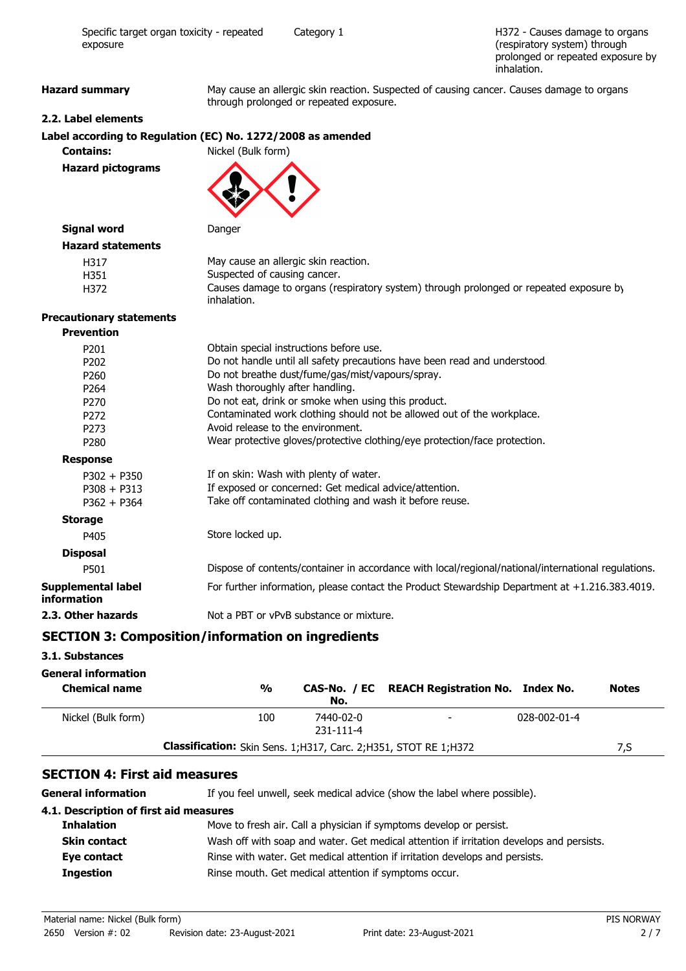H372 - Causes damage to organs (respiratory system) through prolonged or repeated exposure by inhalation.

Hazard summary May cause an allergic skin reaction. Suspected of causing cancer. Causes damage to organs through prolonged or repeated exposure.

#### **2.2. Label elements**

| Label according to Regulation (EC) No. 1272/2008 as amended |                    |
|-------------------------------------------------------------|--------------------|
| <b>Contains:</b>                                            | Nickel (Bulk form) |

**Hazard pictograms**



| Signal word              | Danger                                                                                                |
|--------------------------|-------------------------------------------------------------------------------------------------------|
| <b>Hazard statements</b> |                                                                                                       |
| H317                     | May cause an allergic skin reaction.                                                                  |
| H351                     | Suspected of causing cancer.                                                                          |
| H372                     | Causes damage to organs (respiratory system) through prolonged or repeated exposure by<br>inhalation. |

#### **Precautionary statements**

| <b>Prevention</b>                 |                                                                                                     |
|-----------------------------------|-----------------------------------------------------------------------------------------------------|
| P <sub>201</sub>                  | Obtain special instructions before use.                                                             |
| P <sub>202</sub>                  | Do not handle until all safety precautions have been read and understood.                           |
| P <sub>260</sub>                  | Do not breathe dust/fume/gas/mist/vapours/spray.                                                    |
| P <sub>264</sub>                  | Wash thoroughly after handling.                                                                     |
| P <sub>270</sub>                  | Do not eat, drink or smoke when using this product.                                                 |
| P <sub>272</sub>                  | Contaminated work clothing should not be allowed out of the workplace.                              |
| P273                              | Avoid release to the environment.                                                                   |
| P <sub>280</sub>                  | Wear protective gloves/protective clothing/eye protection/face protection.                          |
| <b>Response</b>                   |                                                                                                     |
| $P302 + P350$                     | If on skin: Wash with plenty of water.                                                              |
| $P308 + P313$                     | If exposed or concerned: Get medical advice/attention.                                              |
| $P362 + P364$                     | Take off contaminated clothing and wash it before reuse.                                            |
| <b>Storage</b>                    |                                                                                                     |
| P405                              | Store locked up.                                                                                    |
| <b>Disposal</b>                   |                                                                                                     |
| P501                              | Dispose of contents/container in accordance with local/regional/national/international regulations. |
| Supplemental label<br>information | For further information, please contact the Product Stewardship Department at $+1.216.383.4019$ .   |
| 2.3. Other hazards                | Not a PBT or vPvB substance or mixture.                                                             |

### **SECTION 3: Composition/information on ingredients**

#### **3.1. Substances**

#### **General information**

| <b>Chemical name</b> | $\frac{0}{0}$                                                             | No.                          | CAS-No. / EC REACH Registration No. Index No. |              | <b>Notes</b> |
|----------------------|---------------------------------------------------------------------------|------------------------------|-----------------------------------------------|--------------|--------------|
| Nickel (Bulk form)   | 100                                                                       | 7440-02-0<br>$231 - 111 - 4$ | $\overline{\phantom{a}}$                      | 028-002-01-4 |              |
|                      | <b>Classification:</b> Skin Sens. 1; H317, Carc. 2; H351, STOT RE 1; H372 |                              |                                               |              | 7.S          |

### **SECTION 4: First aid measures**

General information **If** you feel unwell, seek medical advice (show the label where possible).

### **4.1. Description of first aid measures**

| <b>Inhalation</b>   | Move to fresh air. Call a physician if symptoms develop or persist.                      |
|---------------------|------------------------------------------------------------------------------------------|
| <b>Skin contact</b> | Wash off with soap and water. Get medical attention if irritation develops and persists. |
| Eye contact         | Rinse with water. Get medical attention if irritation develops and persists.             |
| <b>Ingestion</b>    | Rinse mouth. Get medical attention if symptoms occur.                                    |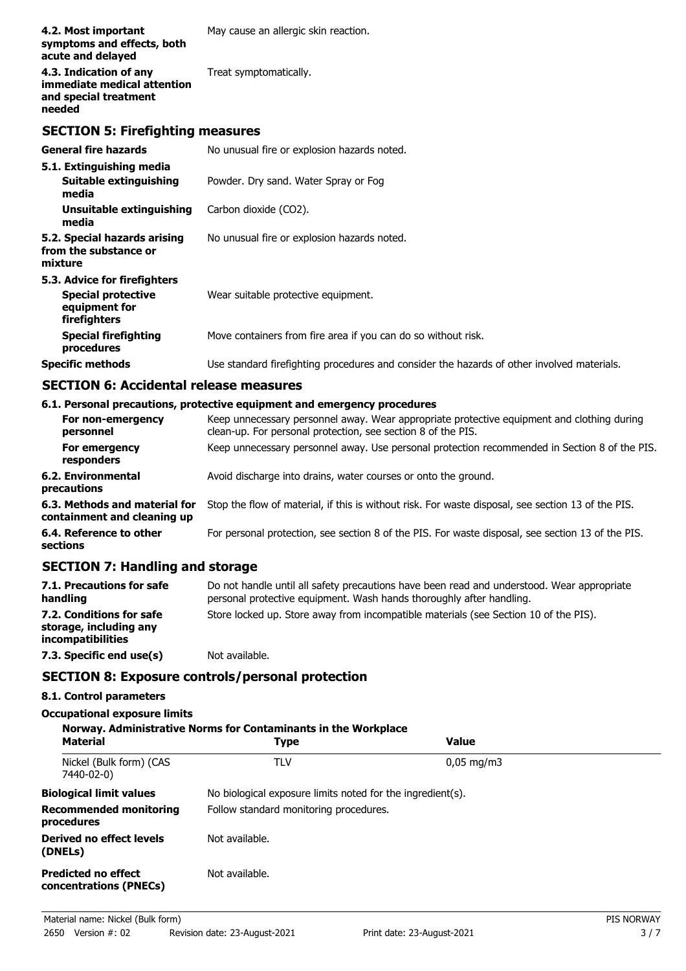| 4.2. Most important<br>symptoms and effects, both<br>acute and delayed                     | May cause an allergic skin reaction.                                                       |
|--------------------------------------------------------------------------------------------|--------------------------------------------------------------------------------------------|
| 4.3. Indication of any<br>immediate medical attention<br>and special treatment<br>needed   | Treat symptomatically.                                                                     |
| <b>SECTION 5: Firefighting measures</b>                                                    |                                                                                            |
| <b>General fire hazards</b>                                                                | No unusual fire or explosion hazards noted.                                                |
| 5.1. Extinguishing media<br><b>Suitable extinguishing</b><br>media                         | Powder. Dry sand. Water Spray or Fog                                                       |
| Unsuitable extinguishing<br>media                                                          | Carbon dioxide (CO2).                                                                      |
| 5.2. Special hazards arising<br>from the substance or<br>mixture                           | No unusual fire or explosion hazards noted.                                                |
| 5.3. Advice for firefighters<br><b>Special protective</b><br>equipment for<br>firefighters | Wear suitable protective equipment.                                                        |
| <b>Special firefighting</b><br>procedures                                                  | Move containers from fire area if you can do so without risk.                              |
| <b>Specific methods</b>                                                                    | Use standard firefighting procedures and consider the hazards of other involved materials. |

## **SECTION 6: Accidental release measures**

## **6.1. Personal precautions, protective equipment and emergency procedures**

| For non-emergency<br>personnel                               | Keep unnecessary personnel away. Wear appropriate protective equipment and clothing during<br>clean-up. For personal protection, see section 8 of the PIS. |
|--------------------------------------------------------------|------------------------------------------------------------------------------------------------------------------------------------------------------------|
| For emergency<br>responders                                  | Keep unnecessary personnel away. Use personal protection recommended in Section 8 of the PIS.                                                              |
| 6.2. Environmental<br>precautions                            | Avoid discharge into drains, water courses or onto the ground.                                                                                             |
| 6.3. Methods and material for<br>containment and cleaning up | Stop the flow of material, if this is without risk. For waste disposal, see section 13 of the PIS.                                                         |
| 6.4. Reference to other<br>sections                          | For personal protection, see section 8 of the PIS. For waste disposal, see section 13 of the PIS.                                                          |
|                                                              |                                                                                                                                                            |

# **SECTION 7: Handling and storage**

| 7.1. Precautions for safe<br>handling                                   | Do not handle until all safety precautions have been read and understood. Wear appropriate<br>personal protective equipment. Wash hands thoroughly after handling. |
|-------------------------------------------------------------------------|--------------------------------------------------------------------------------------------------------------------------------------------------------------------|
| 7.2. Conditions for safe<br>storage, including any<br>incompatibilities | Store locked up. Store away from incompatible materials (see Section 10 of the PIS).                                                                               |
| 7.3. Specific end use(s)                                                | Not available.                                                                                                                                                     |

## **SECTION 8: Exposure controls/personal protection**

## **8.1. Control parameters**

## **Occupational exposure limits**

| <b>Material</b>                                      | Norway. Administrative Norms for Contaminants in the Workplace<br><b>Type</b> | <b>Value</b>           |  |
|------------------------------------------------------|-------------------------------------------------------------------------------|------------------------|--|
| Nickel (Bulk form) (CAS<br>7440-02-0)                | TLV                                                                           | $0,05 \,\mathrm{mg/m}$ |  |
| <b>Biological limit values</b>                       | No biological exposure limits noted for the ingredient(s).                    |                        |  |
| <b>Recommended monitoring</b><br>procedures          | Follow standard monitoring procedures.                                        |                        |  |
| Derived no effect levels<br>(DNELs)                  | Not available.                                                                |                        |  |
| <b>Predicted no effect</b><br>concentrations (PNECs) | Not available.                                                                |                        |  |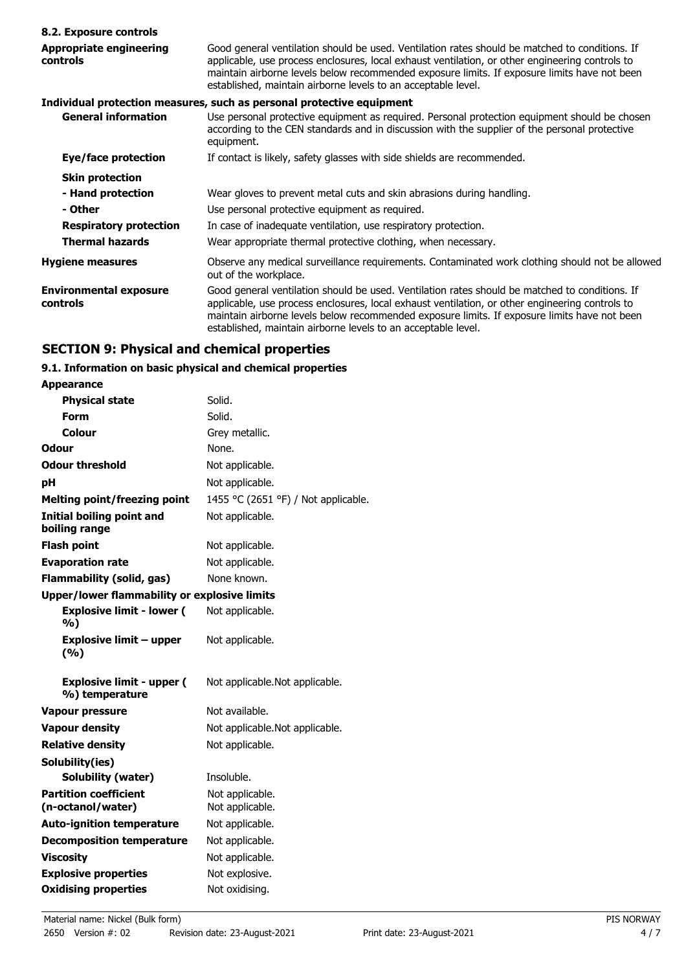| 8.2. Exposure controls                     |                                                                                                                                                                                                                                                                                                                                                                    |
|--------------------------------------------|--------------------------------------------------------------------------------------------------------------------------------------------------------------------------------------------------------------------------------------------------------------------------------------------------------------------------------------------------------------------|
| <b>Appropriate engineering</b><br>controls | Good general ventilation should be used. Ventilation rates should be matched to conditions. If<br>applicable, use process enclosures, local exhaust ventilation, or other engineering controls to<br>maintain airborne levels below recommended exposure limits. If exposure limits have not been<br>established, maintain airborne levels to an acceptable level. |
|                                            | Individual protection measures, such as personal protective equipment                                                                                                                                                                                                                                                                                              |
| <b>General information</b>                 | Use personal protective equipment as required. Personal protection equipment should be chosen<br>according to the CEN standards and in discussion with the supplier of the personal protective<br>equipment.                                                                                                                                                       |
| Eye/face protection                        | If contact is likely, safety glasses with side shields are recommended.                                                                                                                                                                                                                                                                                            |
| <b>Skin protection</b>                     |                                                                                                                                                                                                                                                                                                                                                                    |
| - Hand protection                          | Wear gloves to prevent metal cuts and skin abrasions during handling.                                                                                                                                                                                                                                                                                              |
| - Other                                    | Use personal protective equipment as required.                                                                                                                                                                                                                                                                                                                     |
| <b>Respiratory protection</b>              | In case of inadequate ventilation, use respiratory protection.                                                                                                                                                                                                                                                                                                     |
| <b>Thermal hazards</b>                     | Wear appropriate thermal protective clothing, when necessary.                                                                                                                                                                                                                                                                                                      |
| <b>Hygiene measures</b>                    | Observe any medical surveillance requirements. Contaminated work clothing should not be allowed<br>out of the workplace.                                                                                                                                                                                                                                           |
| <b>Environmental exposure</b><br>controls  | Good general ventilation should be used. Ventilation rates should be matched to conditions. If<br>applicable, use process enclosures, local exhaust ventilation, or other engineering controls to<br>maintain airborne levels below recommended exposure limits. If exposure limits have not been<br>established, maintain airborne levels to an acceptable level. |

# **SECTION 9: Physical and chemical properties**

## **9.1. Information on basic physical and chemical properties**

| <b>Appearance</b>                                   |                                     |
|-----------------------------------------------------|-------------------------------------|
| <b>Physical state</b>                               | Solid.                              |
| Form                                                | Solid.                              |
| Colour                                              | Grey metallic.                      |
| Odour                                               | None.                               |
| <b>Odour threshold</b>                              | Not applicable.                     |
| рH                                                  | Not applicable.                     |
| <b>Melting point/freezing point</b>                 | 1455 °C (2651 °F) / Not applicable. |
| Initial boiling point and<br>boiling range          | Not applicable.                     |
| <b>Flash point</b>                                  | Not applicable.                     |
| <b>Evaporation rate</b>                             | Not applicable.                     |
| Flammability (solid, gas)                           | None known.                         |
| <b>Upper/lower flammability or explosive limits</b> |                                     |
| <b>Explosive limit - lower (</b><br>%)              | Not applicable.                     |
| <b>Explosive limit - upper</b><br>(%)               | Not applicable.                     |
| <b>Explosive limit - upper (</b><br>%) temperature  | Not applicable. Not applicable.     |
| <b>Vapour pressure</b>                              | Not available.                      |
| <b>Vapour density</b>                               | Not applicable. Not applicable.     |
| <b>Relative density</b>                             | Not applicable.                     |
| Solubility(ies)                                     |                                     |
| Solubility (water)                                  | Insoluble.                          |
| <b>Partition coefficient</b><br>(n-octanol/water)   | Not applicable.<br>Not applicable.  |
| <b>Auto-ignition temperature</b>                    | Not applicable.                     |
| <b>Decomposition temperature</b>                    | Not applicable.                     |
| <b>Viscosity</b>                                    | Not applicable.                     |
| <b>Explosive properties</b>                         | Not explosive.                      |
| <b>Oxidising properties</b>                         | Not oxidising.                      |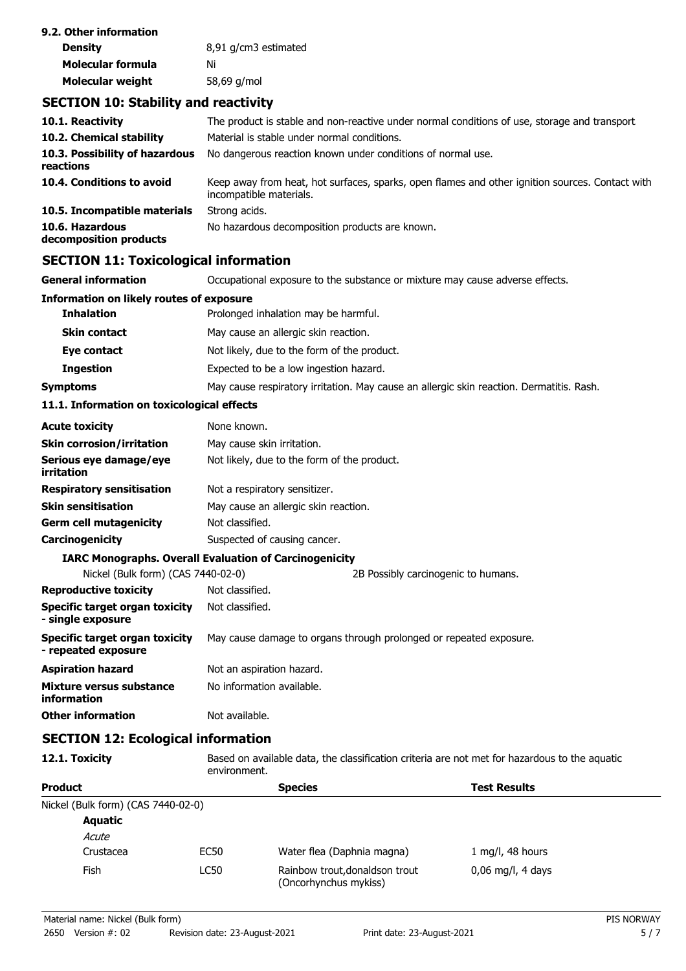| 9.2. Other information |                      |
|------------------------|----------------------|
| <b>Density</b>         | 8,91 g/cm3 estimated |
| Molecular formula      | Νi                   |
| Molecular weight       | 58,69 g/mol          |

## **SECTION 10: Stability and reactivity**

| 10.1. Reactivity                            | The product is stable and non-reactive under normal conditions of use, storage and transport                               |
|---------------------------------------------|----------------------------------------------------------------------------------------------------------------------------|
| 10.2. Chemical stability                    | Material is stable under normal conditions.                                                                                |
| 10.3. Possibility of hazardous<br>reactions | No dangerous reaction known under conditions of normal use.                                                                |
| 10.4. Conditions to avoid                   | Keep away from heat, hot surfaces, sparks, open flames and other ignition sources. Contact with<br>incompatible materials. |
| 10.5. Incompatible materials                | Strong acids.                                                                                                              |
| 10.6. Hazardous<br>decomposition products   | No hazardous decomposition products are known.                                                                             |

## **SECTION 11: Toxicological information**

**General information CCCUPATION** Occupational exposure to the substance or mixture may cause adverse effects.

| Information on likely routes of exposure                     |                                                               |                                                                                          |
|--------------------------------------------------------------|---------------------------------------------------------------|------------------------------------------------------------------------------------------|
| <b>Inhalation</b>                                            | Prolonged inhalation may be harmful.                          |                                                                                          |
| <b>Skin contact</b>                                          | May cause an allergic skin reaction.                          |                                                                                          |
| Eye contact                                                  | Not likely, due to the form of the product.                   |                                                                                          |
| <b>Ingestion</b>                                             | Expected to be a low ingestion hazard.                        |                                                                                          |
| <b>Symptoms</b>                                              |                                                               | May cause respiratory irritation. May cause an allergic skin reaction. Dermatitis. Rash. |
| 11.1. Information on toxicological effects                   |                                                               |                                                                                          |
| <b>Acute toxicity</b>                                        | None known.                                                   |                                                                                          |
| <b>Skin corrosion/irritation</b>                             | May cause skin irritation.                                    |                                                                                          |
| Serious eye damage/eye<br>irritation                         | Not likely, due to the form of the product.                   |                                                                                          |
| <b>Respiratory sensitisation</b>                             | Not a respiratory sensitizer.                                 |                                                                                          |
| <b>Skin sensitisation</b>                                    | May cause an allergic skin reaction.                          |                                                                                          |
| <b>Germ cell mutagenicity</b>                                | Not classified.                                               |                                                                                          |
| Carcinogenicity                                              | Suspected of causing cancer.                                  |                                                                                          |
|                                                              | <b>IARC Monographs. Overall Evaluation of Carcinogenicity</b> |                                                                                          |
| Nickel (Bulk form) (CAS 7440-02-0)                           |                                                               | 2B Possibly carcinogenic to humans.                                                      |
| <b>Reproductive toxicity</b>                                 | Not classified.                                               |                                                                                          |
| <b>Specific target organ toxicity</b><br>- single exposure   | Not classified.                                               |                                                                                          |
| <b>Specific target organ toxicity</b><br>- repeated exposure |                                                               | May cause damage to organs through prolonged or repeated exposure.                       |
| <b>Aspiration hazard</b>                                     | Not an aspiration hazard.                                     |                                                                                          |
| <b>Mixture versus substance</b><br>information               | No information available.                                     |                                                                                          |
| <b>Other information</b>                                     | Not available.                                                |                                                                                          |
|                                                              |                                                               |                                                                                          |

## **SECTION 12: Ecological information**

**12.1. Toxicity** Based on available data, the classification criteria are not met for hazardous to the aquatic environment.

| <b>Product</b>                     |             | <b>Species</b>                                          | <b>Test Results</b> |  |
|------------------------------------|-------------|---------------------------------------------------------|---------------------|--|
| Nickel (Bulk form) (CAS 7440-02-0) |             |                                                         |                     |  |
| <b>Aquatic</b>                     |             |                                                         |                     |  |
| Acute                              |             |                                                         |                     |  |
| Crustacea                          | EC50        | Water flea (Daphnia magna)                              | 1 mg/l, 48 hours    |  |
| Fish                               | <b>LC50</b> | Rainbow trout, donaldson trout<br>(Oncorhynchus mykiss) | $0.06$ mg/l, 4 days |  |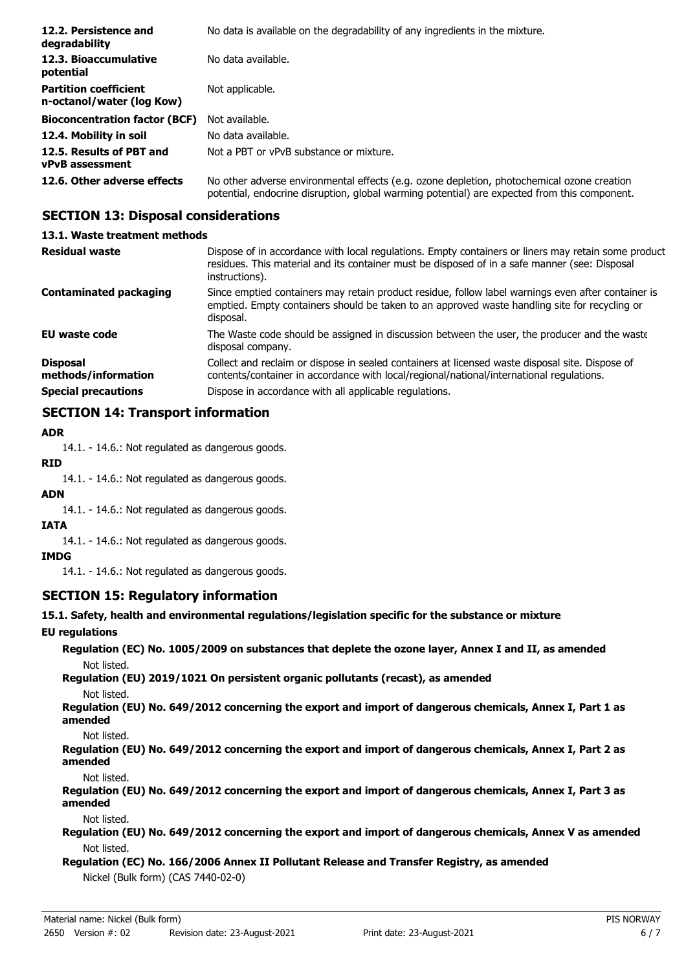| 12.2. Persistence and<br>degradability                    | No data is available on the degradability of any ingredients in the mixture.                                                                                                               |
|-----------------------------------------------------------|--------------------------------------------------------------------------------------------------------------------------------------------------------------------------------------------|
| 12.3. Bioaccumulative<br>potential                        | No data available.                                                                                                                                                                         |
| <b>Partition coefficient</b><br>n-octanol/water (log Kow) | Not applicable.                                                                                                                                                                            |
| <b>Bioconcentration factor (BCF)</b>                      | Not available.                                                                                                                                                                             |
| 12.4. Mobility in soil                                    | No data available.                                                                                                                                                                         |
| 12.5. Results of PBT and<br><b>vPvB</b> assessment        | Not a PBT or vPvB substance or mixture.                                                                                                                                                    |
| 12.6. Other adverse effects                               | No other adverse environmental effects (e.g. ozone depletion, photochemical ozone creation<br>potential, endocrine disruption, global warming potential) are expected from this component. |

## **SECTION 13: Disposal considerations**

| 13.1. Waste treatment methods          |                                                                                                                                                                                                                        |
|----------------------------------------|------------------------------------------------------------------------------------------------------------------------------------------------------------------------------------------------------------------------|
| Residual waste                         | Dispose of in accordance with local regulations. Empty containers or liners may retain some product<br>residues. This material and its container must be disposed of in a safe manner (see: Disposal<br>instructions). |
| <b>Contaminated packaging</b>          | Since emptied containers may retain product residue, follow label warnings even after container is<br>emptied. Empty containers should be taken to an approved waste handling site for recycling or<br>disposal.       |
| EU waste code                          | The Waste code should be assigned in discussion between the user, the producer and the waste<br>disposal company.                                                                                                      |
| <b>Disposal</b><br>methods/information | Collect and reclaim or dispose in sealed containers at licensed waste disposal site. Dispose of<br>contents/container in accordance with local/regional/national/international regulations.                            |
| <b>Special precautions</b>             | Dispose in accordance with all applicable regulations.                                                                                                                                                                 |
|                                        |                                                                                                                                                                                                                        |

## **SECTION 14: Transport information**

### **ADR**

14.1. - 14.6.: Not regulated as dangerous goods.

### **RID**

14.1. - 14.6.: Not regulated as dangerous goods.

### **ADN**

14.1. - 14.6.: Not regulated as dangerous goods.

### **IATA**

14.1. - 14.6.: Not regulated as dangerous goods.

#### **IMDG**

14.1. - 14.6.: Not regulated as dangerous goods.

## **SECTION 15: Regulatory information**

### **15.1. Safety, health and environmental regulations/legislation specific for the substance or mixture**

### **EU regulations**

**Regulation (EC) No. 1005/2009 on substances that deplete the ozone layer, Annex I and II, as amended** Not listed.

**Regulation (EU) 2019/1021 On persistent organic pollutants (recast), as amended** Not listed.

**Regulation (EU) No. 649/2012 concerning the export and import of dangerous chemicals, Annex I, Part 1 as amended**

Not listed.

**Regulation (EU) No. 649/2012 concerning the export and import of dangerous chemicals, Annex I, Part 2 as amended**

Not listed.

**Regulation (EU) No. 649/2012 concerning the export and import of dangerous chemicals, Annex I, Part 3 as amended**

Not listed.

**Regulation (EU) No. 649/2012 concerning the export and import of dangerous chemicals, Annex V as amended** Not listed.

## **Regulation (EC) No. 166/2006 Annex II Pollutant Release and Transfer Registry, as amended** Nickel (Bulk form) (CAS 7440-02-0)